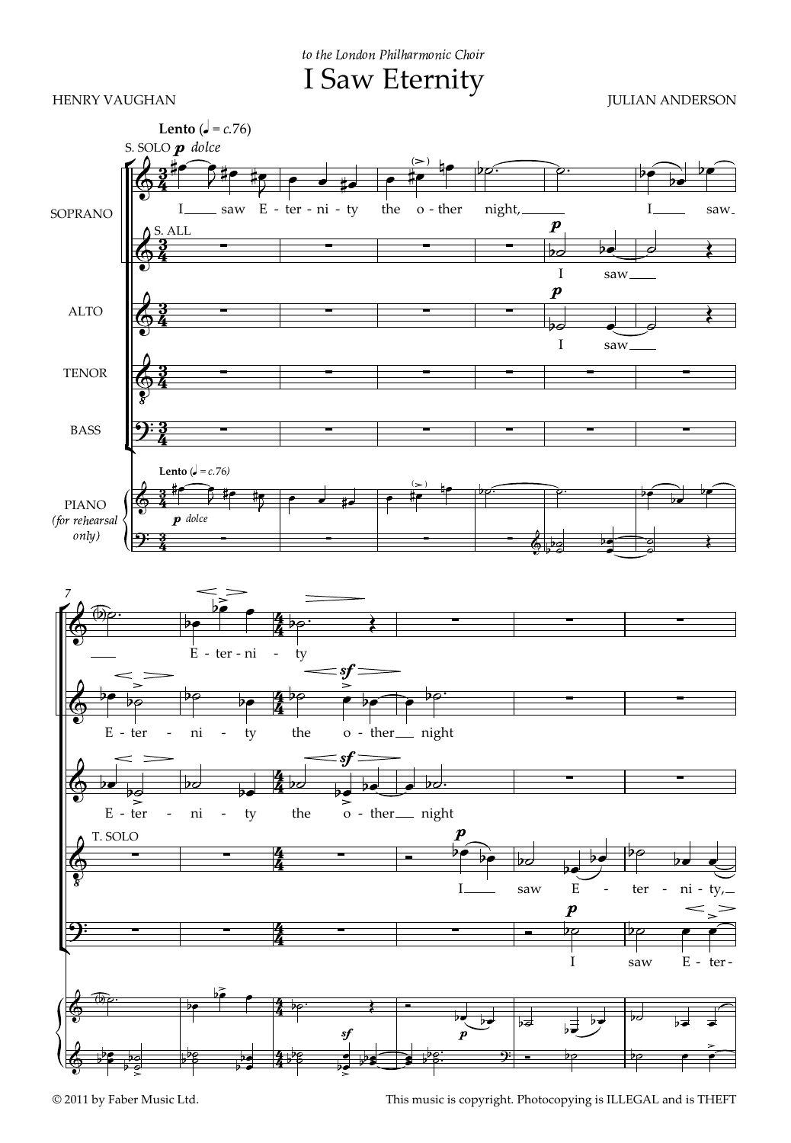I Saw Eternity to the London Philharmonic Choir

HENRY VAUGHAN JULIAN ANDERSON



© 2011 by Faber Music Ltd. This music is copyright. Photocopying is ILLEGAL and is THEFT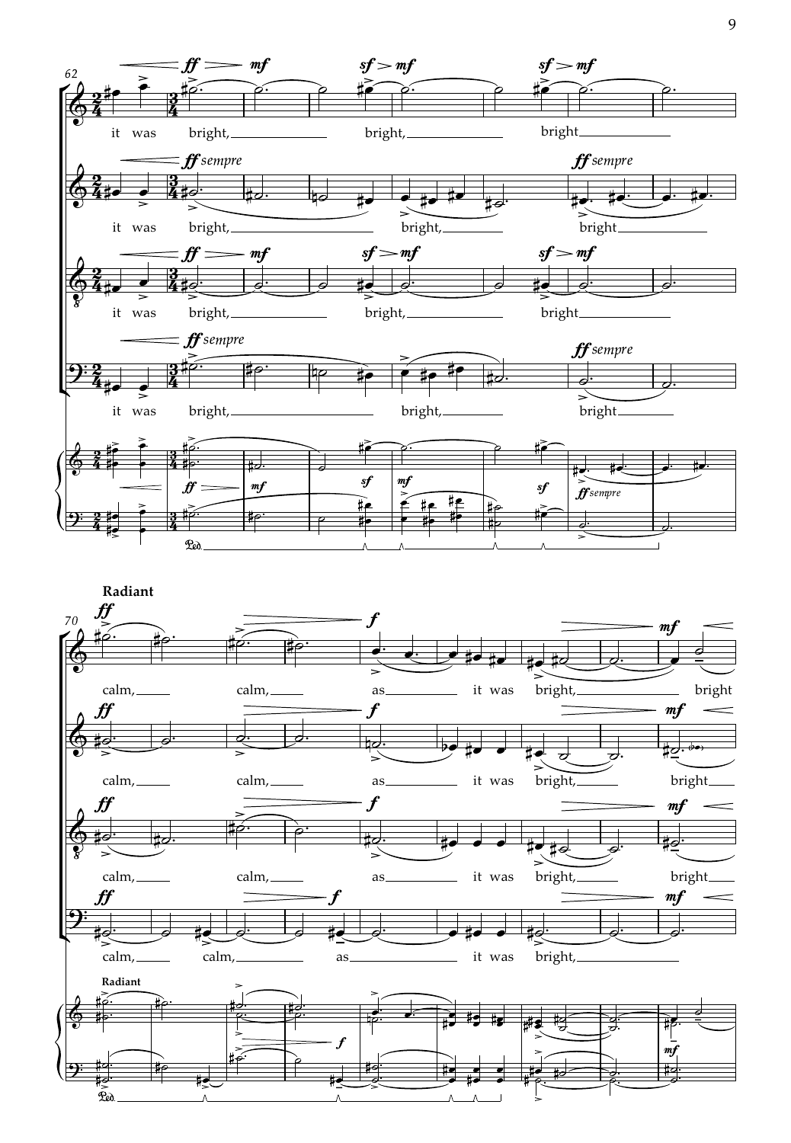